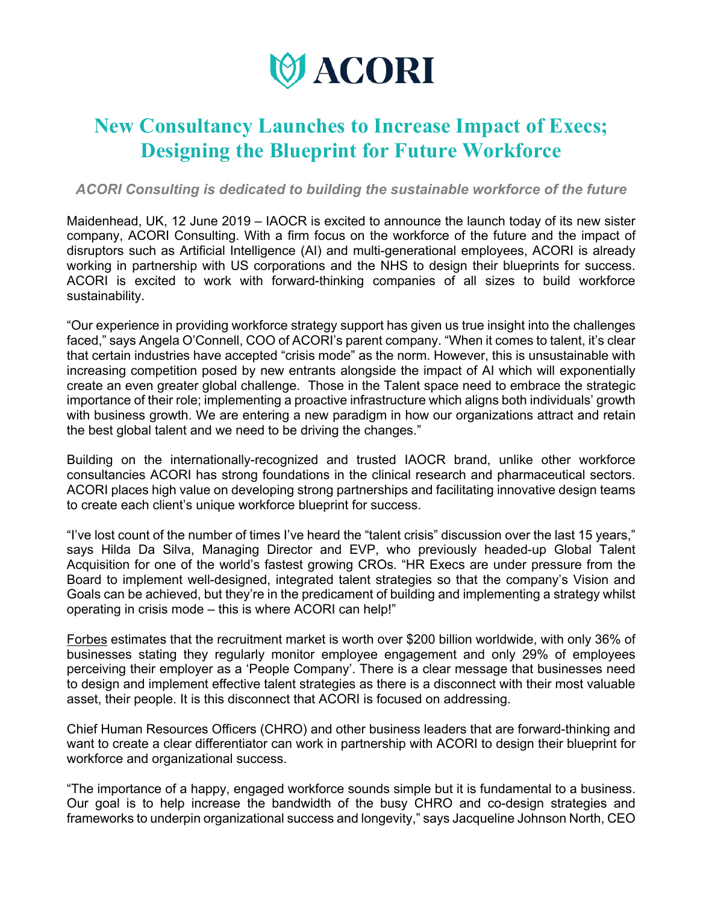

## **New Consultancy Launches to Increase Impact of Execs; Designing the Blueprint for Future Workforce**

*ACORI Consulting is dedicated to building the sustainable workforce of the future*

Maidenhead, UK, 12 June 2019 – IAOCR is excited to announce the launch today of its new sister company, ACORI Consulting. With a firm focus on the workforce of the future and the impact of disruptors such as Artificial Intelligence (AI) and multi-generational employees, ACORI is already working in partnership with US corporations and the NHS to design their blueprints for success. ACORI is excited to work with forward-thinking companies of all sizes to build workforce sustainability.

"Our experience in providing workforce strategy support has given us true insight into the challenges faced," says Angela O'Connell, COO of ACORI's parent company. "When it comes to talent, it's clear that certain industries have accepted "crisis mode" as the norm. However, this is unsustainable with increasing competition posed by new entrants alongside the impact of AI which will exponentially create an even greater global challenge. Those in the Talent space need to embrace the strategic importance of their role; implementing a proactive infrastructure which aligns both individuals' growth with business growth. We are entering a new paradigm in how our organizations attract and retain the best global talent and we need to be driving the changes."

Building on the internationally-recognized and trusted IAOCR brand, unlike other workforce consultancies ACORI has strong foundations in the clinical research and pharmaceutical sectors. ACORI places high value on developing strong partnerships and facilitating innovative design teams to create each client's unique workforce blueprint for success.

"I've lost count of the number of times I've heard the "talent crisis" discussion over the last 15 years," says Hilda Da Silva, Managing Director and EVP, who previously headed-up Global Talent Acquisition for one of the world's fastest growing CROs. "HR Execs are under pressure from the Board to implement well-designed, integrated talent strategies so that the company's Vision and Goals can be achieved, but they're in the predicament of building and implementing a strategy whilst operating in crisis mode – this is where ACORI can help!"

Forbes estimates that the recruitment market is worth over \$200 billion worldwide, with only 36% of businesses stating they regularly monitor employee engagement and only 29% of employees perceiving their employer as a 'People Company'. There is a clear message that businesses need to design and implement effective talent strategies as there is a disconnect with their most valuable asset, their people. It is this disconnect that ACORI is focused on addressing.

Chief Human Resources Officers (CHRO) and other business leaders that are forward-thinking and want to create a clear differentiator can work in partnership with ACORI to design their blueprint for workforce and organizational success.

"The importance of a happy, engaged workforce sounds simple but it is fundamental to a business. Our goal is to help increase the bandwidth of the busy CHRO and co-design strategies and frameworks to underpin organizational success and longevity," says Jacqueline Johnson North, CEO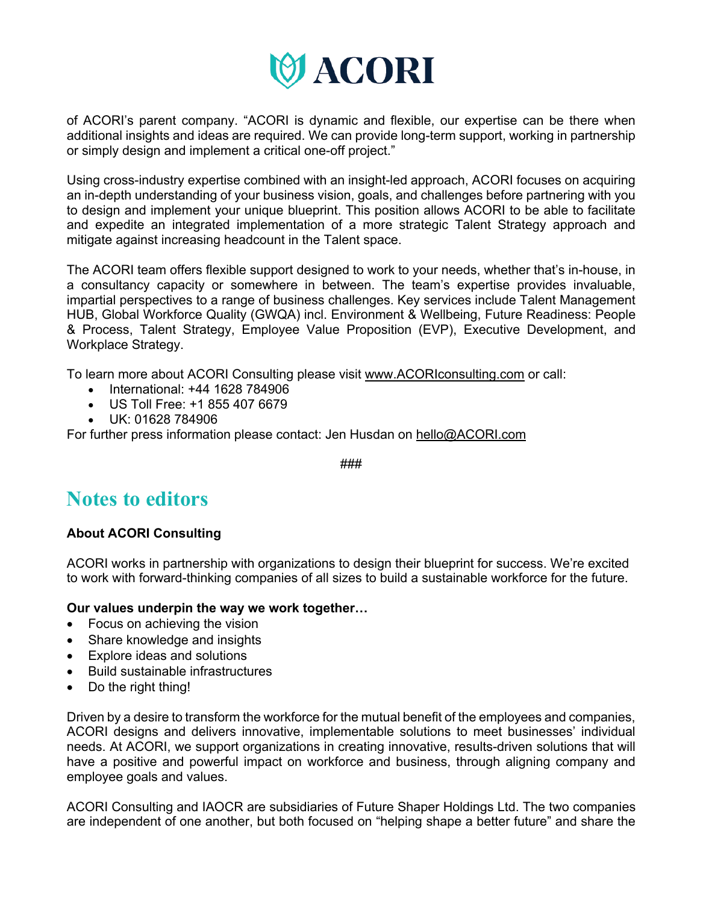

of ACORI's parent company. "ACORI is dynamic and flexible, our expertise can be there when additional insights and ideas are required. We can provide long-term support, working in partnership or simply design and implement a critical one-off project."

Using cross-industry expertise combined with an insight-led approach, ACORI focuses on acquiring an in-depth understanding of your business vision, goals, and challenges before partnering with you to design and implement your unique blueprint. This position allows ACORI to be able to facilitate and expedite an integrated implementation of a more strategic Talent Strategy approach and mitigate against increasing headcount in the Talent space.

The ACORI team offers flexible support designed to work to your needs, whether that's in-house, in a consultancy capacity or somewhere in between. The team's expertise provides invaluable, impartial perspectives to a range of business challenges. Key services include Talent Management HUB, Global Workforce Quality (GWQA) incl. Environment & Wellbeing, Future Readiness: People & Process, Talent Strategy, Employee Value Proposition (EVP), Executive Development, and Workplace Strategy.

To learn more about ACORI Consulting please visit www.ACORIconsulting.com or call:

- International: +44 1628 784906
- US Toll Free: +1 855 407 6679
- UK: 01628 784906

For further press information please contact: Jen Husdan on hello@ACORI.com

###

## **Notes to editors**

## **About ACORI Consulting**

ACORI works in partnership with organizations to design their blueprint for success. We're excited to work with forward-thinking companies of all sizes to build a sustainable workforce for the future.

**Our values underpin the way we work together…**

- Focus on achieving the vision
- Share knowledge and insights
- Explore ideas and solutions
- Build sustainable infrastructures
- Do the right thing!

Driven by a desire to transform the workforce for the mutual benefit of the employees and companies, ACORI designs and delivers innovative, implementable solutions to meet businesses' individual needs. At ACORI, we support organizations in creating innovative, results-driven solutions that will have a positive and powerful impact on workforce and business, through aligning company and employee goals and values.

ACORI Consulting and IAOCR are subsidiaries of Future Shaper Holdings Ltd. The two companies are independent of one another, but both focused on "helping shape a better future" and share the